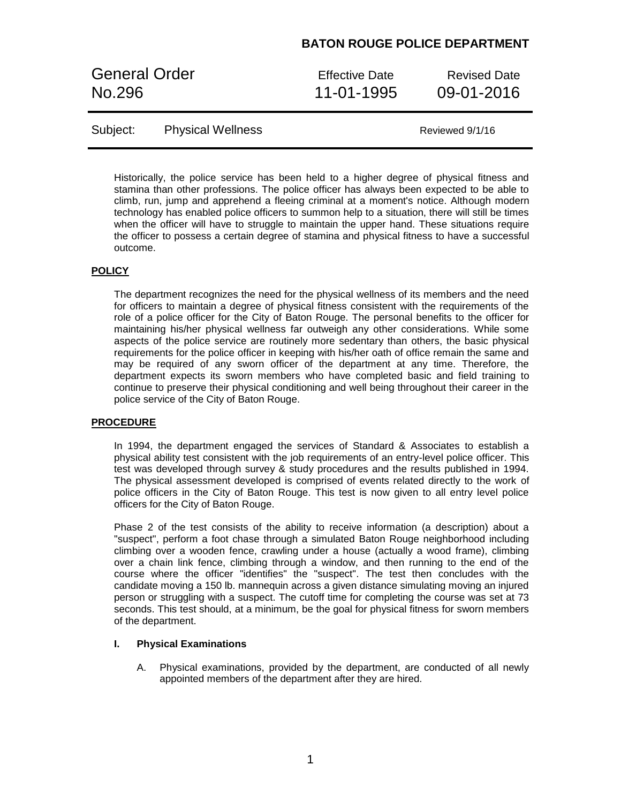### **BATON ROUGE POLICE DEPARTMENT**

General Order **Effective Date** Revised Date No.296 11-01-1995 09-01-2016

| Subject: | <b>Physical Wellness</b> | Reviewed 9/1/16 |
|----------|--------------------------|-----------------|
|----------|--------------------------|-----------------|

Historically, the police service has been held to a higher degree of physical fitness and stamina than other professions. The police officer has always been expected to be able to climb, run, jump and apprehend a fleeing criminal at a moment's notice. Although modern technology has enabled police officers to summon help to a situation, there will still be times when the officer will have to struggle to maintain the upper hand. These situations require the officer to possess a certain degree of stamina and physical fitness to have a successful outcome.

#### **POLICY**

The department recognizes the need for the physical wellness of its members and the need for officers to maintain a degree of physical fitness consistent with the requirements of the role of a police officer for the City of Baton Rouge. The personal benefits to the officer for maintaining his/her physical wellness far outweigh any other considerations. While some aspects of the police service are routinely more sedentary than others, the basic physical requirements for the police officer in keeping with his/her oath of office remain the same and may be required of any sworn officer of the department at any time. Therefore, the department expects its sworn members who have completed basic and field training to continue to preserve their physical conditioning and well being throughout their career in the police service of the City of Baton Rouge.

#### **PROCEDURE**

In 1994, the department engaged the services of Standard & Associates to establish a physical ability test consistent with the job requirements of an entry-level police officer. This test was developed through survey & study procedures and the results published in 1994. The physical assessment developed is comprised of events related directly to the work of police officers in the City of Baton Rouge. This test is now given to all entry level police officers for the City of Baton Rouge.

Phase 2 of the test consists of the ability to receive information (a description) about a "suspect", perform a foot chase through a simulated Baton Rouge neighborhood including climbing over a wooden fence, crawling under a house (actually a wood frame), climbing over a chain link fence, climbing through a window, and then running to the end of the course where the officer "identifies" the "suspect". The test then concludes with the candidate moving a 150 lb. mannequin across a given distance simulating moving an injured person or struggling with a suspect. The cutoff time for completing the course was set at 73 seconds. This test should, at a minimum, be the goal for physical fitness for sworn members of the department.

#### **I. Physical Examinations**

A. Physical examinations, provided by the department, are conducted of all newly appointed members of the department after they are hired.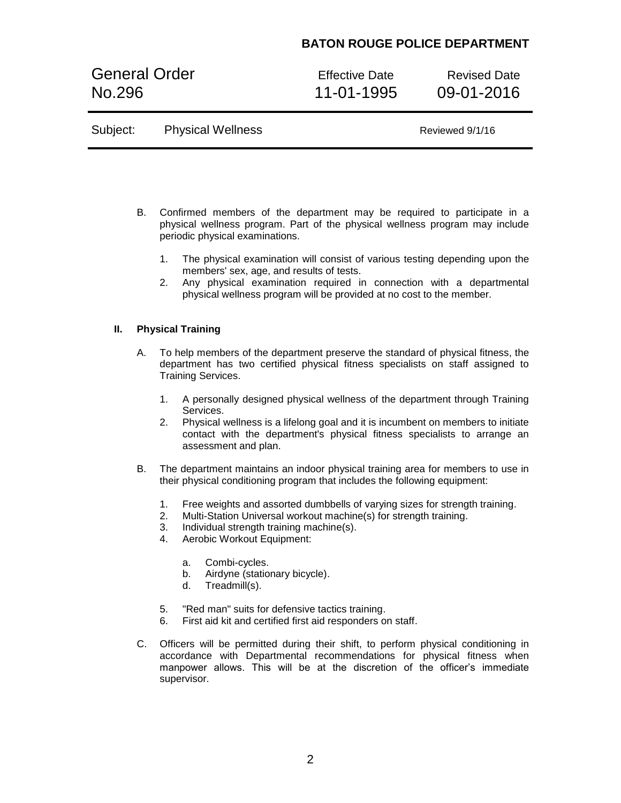## **BATON ROUGE POLICE DEPARTMENT**

General Order **Effective Date** Revised Date No.296 11-01-1995 09-01-2016

| Subject: | <b>Physical Wellness</b> | Reviewed 9/1/16 |
|----------|--------------------------|-----------------|
|----------|--------------------------|-----------------|

- B. Confirmed members of the department may be required to participate in a physical wellness program. Part of the physical wellness program may include periodic physical examinations.
	- 1. The physical examination will consist of various testing depending upon the members' sex, age, and results of tests.
	- 2. Any physical examination required in connection with a departmental physical wellness program will be provided at no cost to the member.

### **II. Physical Training**

- A. To help members of the department preserve the standard of physical fitness, the department has two certified physical fitness specialists on staff assigned to Training Services.
	- 1. A personally designed physical wellness of the department through Training Services.
	- 2. Physical wellness is a lifelong goal and it is incumbent on members to initiate contact with the department's physical fitness specialists to arrange an assessment and plan.
- B. The department maintains an indoor physical training area for members to use in their physical conditioning program that includes the following equipment:
	- 1. Free weights and assorted dumbbells of varying sizes for strength training.
	- 2. Multi-Station Universal workout machine(s) for strength training.
	- 3. Individual strength training machine(s).
	- 4. Aerobic Workout Equipment:
		- a. Combi-cycles.
		- b. Airdyne (stationary bicycle).
		- d. Treadmill(s).
	- 5. "Red man" suits for defensive tactics training.
	- 6. First aid kit and certified first aid responders on staff.
- C. Officers will be permitted during their shift, to perform physical conditioning in accordance with Departmental recommendations for physical fitness when manpower allows. This will be at the discretion of the officer's immediate supervisor.